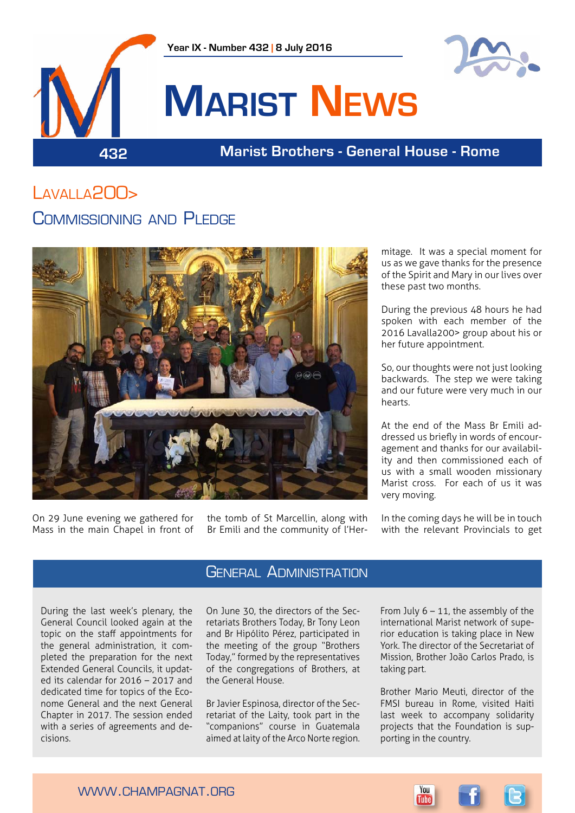



# **Marist News**

### **432 Marist Brothers - General House - Rome**

## Lavalla200>

### Commissioning and Pledge



On 29 June evening we gathered for Mass in the main Chapel in front of the tomb of St Marcellin, along with Br Emili and the community of l'Hermitage. It was a special moment for us as we gave thanks for the presence of the Spirit and Mary in our lives over these past two months.

During the previous 48 hours he had spoken with each member of the 2016 Lavalla200> group about his or her future appointment.

So, our thoughts were not just looking backwards. The step we were taking and our future were very much in our hearts.

At the end of the Mass Br Emili addressed us briefly in words of encouragement and thanks for our availability and then commissioned each of us with a small wooden missionary Marist cross. For each of us it was very moving.

In the coming days he will be in touch with the relevant Provincials to get

During the last week's plenary, the General Council looked again at the topic on the staff appointments for the general administration, it completed the preparation for the next Extended General Councils, it updated its calendar for 2016 – 2017 and dedicated time for topics of the Econome General and the next General Chapter in 2017. The session ended with a series of agreements and decisions.

### **GENERAL ADMINISTRATION**

On June 30, the directors of the Secretariats Brothers Today, Br Tony Leon and Br Hipólito Pérez, participated in the meeting of the group "Brothers Today," formed by the representatives of the congregations of Brothers, at the General House.

Br Javier Espinosa, director of the Secretariat of the Laity, took part in the "companions" course in Guatemala aimed at laity of the Arco Norte region.

From July  $6 - 11$ , the assembly of the international Marist network of superior education is taking place in New York. The director of the Secretariat of Mission, Brother João Carlos Prado, is taking part.

Brother Mario Meuti, director of the FMSI bureau in Rome, visited Haiti last week to accompany solidarity projects that the Foundation is supporting in the country.



www.champagnat.org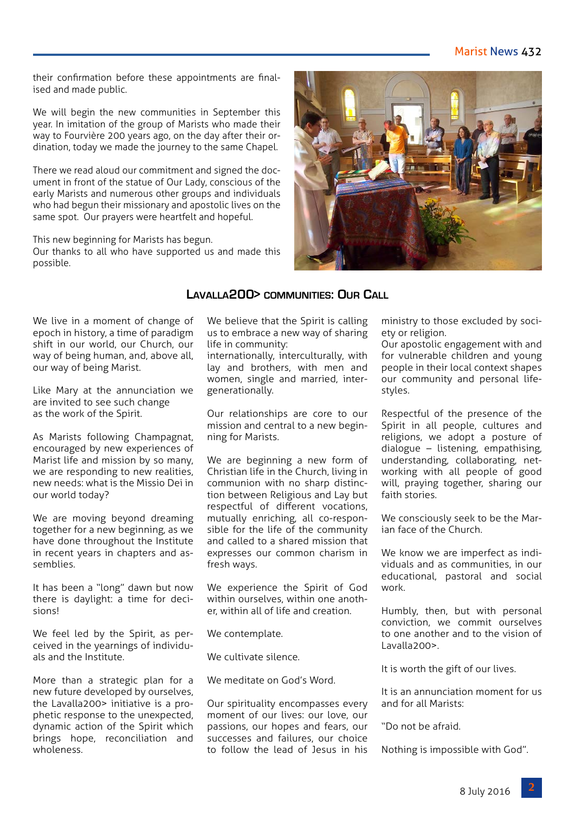### Marist News 432

their confirmation before these appointments are finalised and made public.

We will begin the new communities in September this year. In imitation of the group of Marists who made their way to Fourvière 200 years ago, on the day after their ordination, today we made the journey to the same Chapel.

There we read aloud our commitment and signed the document in front of the statue of Our Lady, conscious of the early Marists and numerous other groups and individuals who had begun their missionary and apostolic lives on the same spot. Our prayers were heartfelt and hopeful.

This new beginning for Marists has begun.

Our thanks to all who have supported us and made this possible.



We live in a moment of change of epoch in history, a time of paradigm shift in our world, our Church, our way of being human, and, above all, our way of being Marist.

Like Mary at the annunciation we are invited to see such change as the work of the Spirit.

As Marists following Champagnat, encouraged by new experiences of Marist life and mission by so many, we are responding to new realities. new needs: what is the Missio Dei in our world today?

We are moving beyond dreaming together for a new beginning, as we have done throughout the Institute in recent years in chapters and assemblies.

It has been a "long" dawn but now there is daylight: a time for decisions!

We feel led by the Spirit, as perceived in the yearnings of individuals and the Institute.

More than a strategic plan for a new future developed by ourselves, the Lavalla200> initiative is a prophetic response to the unexpected, dynamic action of the Spirit which brings hope, reconciliation and wholeness<sup>.</sup>

# **Lavalla200> communities: Our Call**

We believe that the Spirit is calling us to embrace a new way of sharing life in community:

internationally, interculturally, with lay and brothers, with men and women, single and married, intergenerationally.

Our relationships are core to our mission and central to a new beginning for Marists.

We are beginning a new form of Christian life in the Church, living in communion with no sharp distinction between Religious and Lay but respectful of different vocations, mutually enriching, all co-responsible for the life of the community and called to a shared mission that expresses our common charism in fresh ways.

We experience the Spirit of God within ourselves, within one another, within all of life and creation.

We contemplate.

We cultivate silence.

We meditate on God's Word.

Our spirituality encompasses every moment of our lives: our love, our passions, our hopes and fears, our successes and failures, our choice to follow the lead of Jesus in his

ministry to those excluded by society or religion.

Our apostolic engagement with and for vulnerable children and young people in their local context shapes our community and personal lifestyles.

Respectful of the presence of the Spirit in all people, cultures and religions, we adopt a posture of dialogue – listening, empathising, understanding, collaborating, networking with all people of good will, praying together, sharing our faith stories.

We consciously seek to be the Marian face of the Church.

We know we are imperfect as individuals and as communities, in our educational, pastoral and social work.

Humbly, then, but with personal conviction, we commit ourselves to one another and to the vision of Lavalla200>.

It is worth the gift of our lives.

It is an annunciation moment for us and for all Marists:

"Do not be afraid.

Nothing is impossible with God".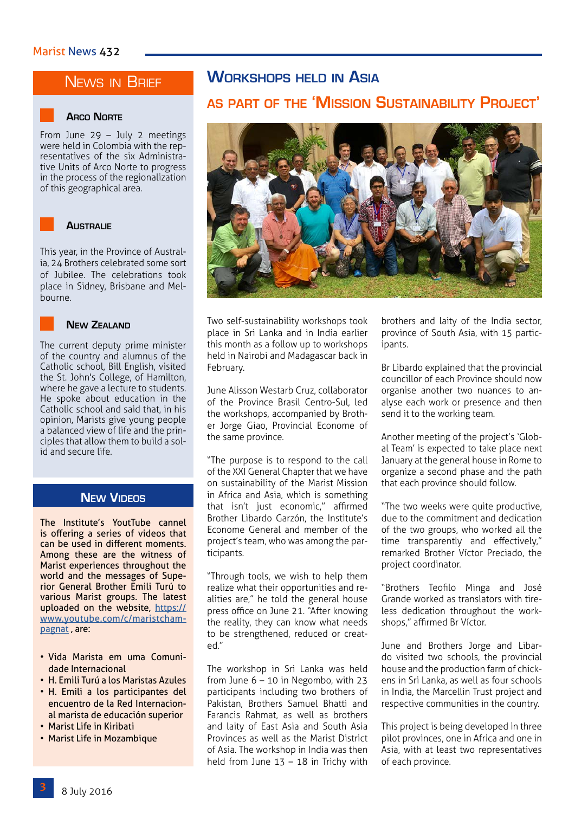### NEWS IN BRIEF



From June 29 – July 2 meetings were held in Colombia with the representatives of the six Administrative Units of Arco Norte to progress in the process of the regionalization of this geographical area.



This year, in the Province of Australia, 24 Brothers celebrated some sort of Jubilee. The celebrations took place in Sidney, Brisbane and Melbourne.



The current deputy prime minister of the country and alumnus of the Catholic school, Bill English, visited the St. John's College, of Hamilton, where he gave a lecture to students. He spoke about education in the Catholic school and said that, in his opinion, Marists give young people a balanced view of life and the principles that allow them to build a solid and secure life.

### **New Videos**

The Institute's YoutTube cannel is offering a series of videos that can be used in different moments. Among these are the witness of Marist experiences throughout the world and the messages of Superior General Brother Emili Turú to various Marist groups. The latest uploaded on the website, [https://](https://www.youtube.com/c/maristchampagnat) [www.youtube.com/c/maristcham](https://www.youtube.com/c/maristchampagnat)[pagnat](https://www.youtube.com/c/maristchampagnat), are:

- Vida Marista em uma Comunidade Internacional
- H. Emili Turú a los Maristas Azules
- H. Emili a los participantes del encuentro de la Red Internacional marista de educación superior
- Marist Life in Kiribati
- Marist Life in Mozambique

### **Workshops held in Asia**

### **as part of the 'Mission Sustainability Project'**



**NEW ZEALAND** Two self-sustainability workshops took place in Sri Lanka and in India earlier this month as a follow up to workshops held in Nairobi and Madagascar back in February.

> June Alisson Westarb Cruz, collaborator of the Province Brasil Centro-Sul, led the workshops, accompanied by Brother Jorge Giao, Provincial Econome of the same province.

> "The purpose is to respond to the call of the XXI General Chapter that we have on sustainability of the Marist Mission in Africa and Asia, which is something that isn't just economic," affirmed Brother Libardo Garzón, the Institute's Econome General and member of the project's team, who was among the participants.

> "Through tools, we wish to help them realize what their opportunities and realities are," he told the general house press office on June 21. "After knowing the reality, they can know what needs to be strengthened, reduced or created."

> The workshop in Sri Lanka was held from June 6 – 10 in Negombo, with 23 participants including two brothers of Pakistan, Brothers Samuel Bhatti and Farancis Rahmat, as well as brothers and laity of East Asia and South Asia Provinces as well as the Marist District of Asia. The workshop in India was then held from June 13 – 18 in Trichy with

brothers and laity of the India sector, province of South Asia, with 15 participants.

Br Libardo explained that the provincial councillor of each Province should now organise another two nuances to analyse each work or presence and then send it to the working team.

Another meeting of the project's 'Global Team' is expected to take place next January at the general house in Rome to organize a second phase and the path that each province should follow.

"The two weeks were quite productive, due to the commitment and dedication of the two groups, who worked all the time transparently and effectively," remarked Brother Víctor Preciado, the project coordinator.

"Brothers Teofilo Minga and José Grande worked as translators with tireless dedication throughout the workshops," affirmed Br Víctor.

June and Brothers Jorge and Libardo visited two schools, the provincial house and the production farm of chickens in Sri Lanka, as well as four schools in India, the Marcellin Trust project and respective communities in the country.

This project is being developed in three pilot provinces, one in Africa and one in Asia, with at least two representatives of each province.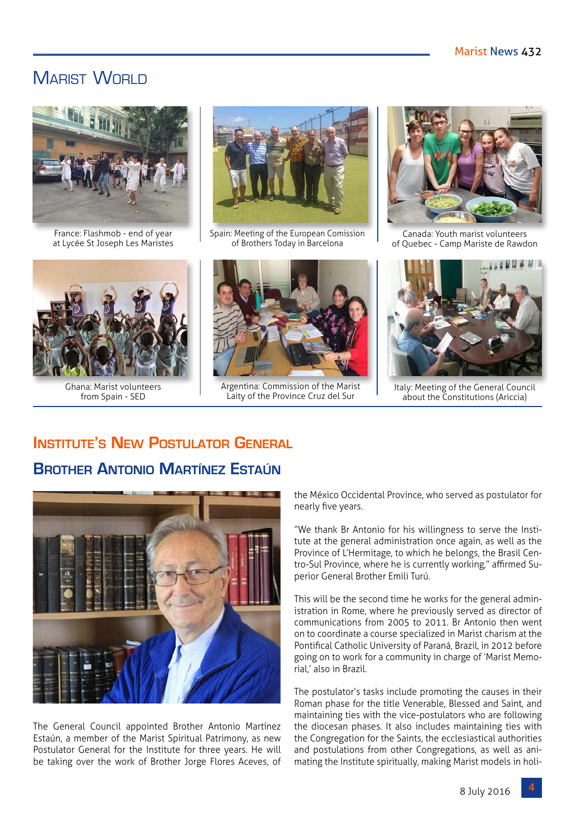### MARIST WORLD



France: Flashmob - end of year at Lycée St Joseph Les Maristes



Ghana: Marist volunteers from Spain - SED



Spain: Meeting of the European Comission of Brothers Today in Barcelona



Argentina: Commission of the Marist Laity of the Province Cruz del Sur



Canada: Youth marist volunteers of Quebec - Camp Mariste de Rawdon



Italy: Meeting of the General Council about the Constitutions (Ariccia)

### **Institute's New Postulator General Brother Antonio Martínez Estaún**



The General Council appointed Brother Antonio Martínez Estaún, a member of the Marist Spiritual Patrimony, as new Postulator General for the Institute for three years. He will be taking over the work of Brother Jorge Flores Aceves, of

the México Occidental Province, who served as postulator for nearly five years.

"We thank Br Antonio for his willingness to serve the Institute at the general administration once again, as well as the Province of L'Hermitage, to which he belongs, the Brasil Centro-Sul Province, where he is currently working," affirmed Superior General Brother Emili Turú.

This will be the second time he works for the general administration in Rome, where he previously served as director of communications from 2005 to 2011. Br Antonio then went on to coordinate a course specialized in Marist charism at the Pontifical Catholic University of Paraná, Brazil, in 2012 before going on to work for a community in charge of 'Marist Memorial,' also in Brazil.

The postulator's tasks include promoting the causes in their Roman phase for the title Venerable, Blessed and Saint, and maintaining ties with the vice-postulators who are following the diocesan phases. It also includes maintaining ties with the Congregation for the Saints, the ecclesiastical authorities and postulations from other Congregations, as well as animating the Institute spiritually, making Marist models in holi-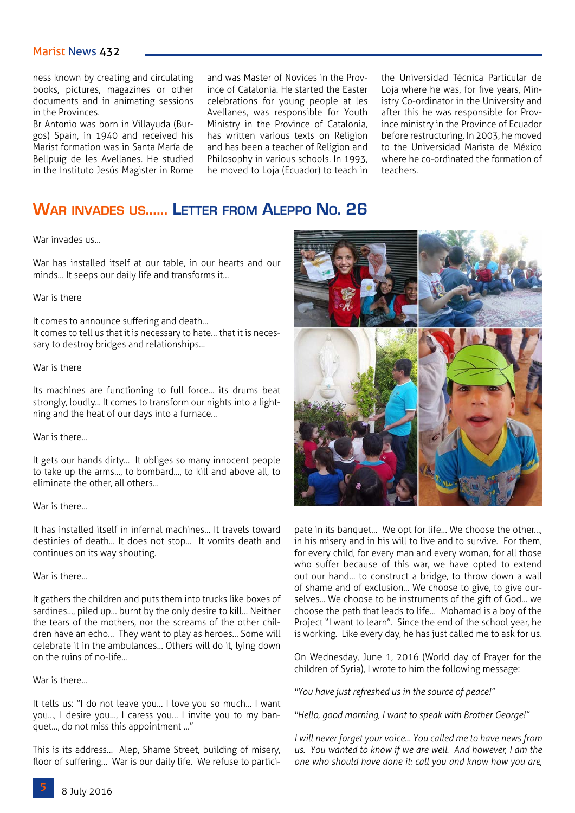### Marist News 432

ness known by creating and circulating books, pictures, magazines or other documents and in animating sessions in the Provinces.

Br Antonio was born in Villayuda (Burgos) Spain, in 1940 and received his Marist formation was in Santa María de Bellpuig de les Avellanes. He studied in the Instituto Jesús Magister in Rome and was Master of Novices in the Province of Catalonia. He started the Easter celebrations for young people at les Avellanes, was responsible for Youth Ministry in the Province of Catalonia, has written various texts on Religion and has been a teacher of Religion and Philosophy in various schools. In 1993, he moved to Loja (Ecuador) to teach in

the Universidad Técnica Particular de Loja where he was, for five years, Ministry Co-ordinator in the University and after this he was responsible for Province ministry in the Province of Ecuador before restructuring. In 2003, he moved to the Universidad Marista de México where he co-ordinated the formation of teachers.

### **War invades us…... Letter from Aleppo No. 26**

#### War invades us…

War has installed itself at our table, in our hearts and our minds… It seeps our daily life and transforms it…

#### War is there

It comes to announce suffering and death…

It comes to tell us that it is necessary to hate… that it is necessary to destroy bridges and relationships…

### War is there

Its machines are functioning to full force… its drums beat strongly, loudly... It comes to transform our nights into a lightning and the heat of our days into a furnace…

#### War is there…

It gets our hands dirty… It obliges so many innocent people to take up the arms…, to bombard…, to kill and above all, to eliminate the other, all others…

#### War is there…

It has installed itself in infernal machines… It travels toward destinies of death… It does not stop… It vomits death and continues on its way shouting.

#### War is there…

It gathers the children and puts them into trucks like boxes of sardines…, piled up… burnt by the only desire to kill… Neither the tears of the mothers, nor the screams of the other children have an echo… They want to play as heroes… Some will celebrate it in the ambulances… Others will do it, lying down on the ruins of no-life...

### War is there…

It tells us: "I do not leave you… I love you so much… I want you…, I desire you…, I caress you… I invite you to my banquet…, do not miss this appointment …"

This is its address… Alep, Shame Street, building of misery, floor of suffering… War is our daily life. We refuse to partici-



pate in its banquet… We opt for life… We choose the other…, in his misery and in his will to live and to survive. For them, for every child, for every man and every woman, for all those who suffer because of this war, we have opted to extend out our hand… to construct a bridge, to throw down a wall of shame and of exclusion… We choose to give, to give ourselves... We choose to be instruments of the gift of God… we choose the path that leads to life… Mohamad is a boy of the Project "I want to learn". Since the end of the school year, he is working. Like every day, he has just called me to ask for us.

On Wednesday, June 1, 2016 (World day of Prayer for the children of Syria), I wrote to him the following message:

*"You have just refreshed us in the source of peace!"*

*"Hello, good morning, I want to speak with Brother George!"*

*I will never forget your voice… You called me to have news from us. You wanted to know if we are well. And however, I am the one who should have done it: call you and know how you are,*